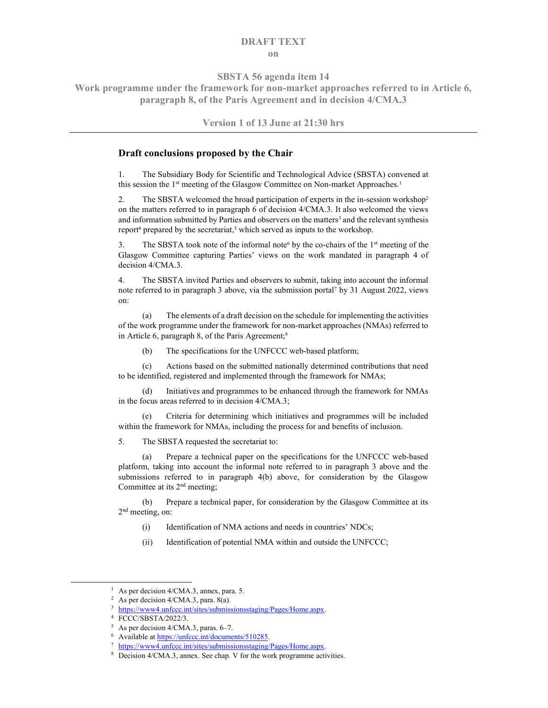## DRAFT TEXT on

SBSTA 56 agenda item 14

Work programme under the framework for non-market approaches referred to in Article 6, paragraph 8, of the Paris Agreement and in decision 4/CMA.3

Version 1 of 13 June at 21:30 hrs

## Draft conclusions proposed by the Chair

1. The Subsidiary Body for Scientific and Technological Advice (SBSTA) convened at this session the 1<sup>st</sup> meeting of the Glasgow Committee on Non-market Approaches.<sup>1</sup>

2. The SBSTA welcomed the broad participation of experts in the in-session workshop<sup>2</sup> on the matters referred to in paragraph 6 of decision 4/CMA.3. It also welcomed the views and information submitted by Parties and observers on the matters<sup>3</sup> and the relevant synthesis report<sup>4</sup> prepared by the secretariat,<sup>5</sup> which served as inputs to the workshop.

3. The SBSTA took note of the informal note<sup>6</sup> by the co-chairs of the  $1<sup>st</sup>$  meeting of the Glasgow Committee capturing Parties' views on the work mandated in paragraph 4 of decision 4/CMA.3.

4. The SBSTA invited Parties and observers to submit, taking into account the informal note referred to in paragraph 3 above, via the submission portal<sup>7</sup> by 31 August 2022, views on:

(a) The elements of a draft decision on the schedule for implementing the activities of the work programme under the framework for non-market approaches (NMAs) referred to in Article 6, paragraph 8, of the Paris Agreement;<sup>8</sup>

(b) The specifications for the UNFCCC web-based platform;

(c) Actions based on the submitted nationally determined contributions that need to be identified, registered and implemented through the framework for NMAs;

Initiatives and programmes to be enhanced through the framework for NMAs in the focus areas referred to in decision 4/CMA.3;

(e) Criteria for determining which initiatives and programmes will be included within the framework for NMAs, including the process for and benefits of inclusion.

5. The SBSTA requested the secretariat to:

(a) Prepare a technical paper on the specifications for the UNFCCC web-based platform, taking into account the informal note referred to in paragraph 3 above and the submissions referred to in paragraph 4(b) above, for consideration by the Glasgow Committee at its 2<sup>nd</sup> meeting;

(b) Prepare a technical paper, for consideration by the Glasgow Committee at its 2<sup>nd</sup> meeting, on:

- (i) Identification of NMA actions and needs in countries' NDCs;
- (ii) Identification of potential NMA within and outside the UNFCCC;

<sup>&</sup>lt;sup>1</sup> As per decision 4/CMA.3, annex, para. 5.

<sup>2</sup> As per decision 4/CMA.3, para. 8(a).

<sup>&</sup>lt;sup>3</sup> https://www4.unfccc.int/sites/submissionsstaging/Pages/Home.aspx.

<sup>4</sup> FCCC/SBSTA/2022/3.

<sup>5</sup> As per decision 4/CMA.3, paras. 6–7.

<sup>&</sup>lt;sup>6</sup> Available at https://unfccc.int/documents/510285.

<sup>7</sup> https://www4.unfccc.int/sites/submissionsstaging/Pages/Home.aspx.

<sup>8</sup> Decision 4/CMA.3, annex. See chap. V for the work programme activities.